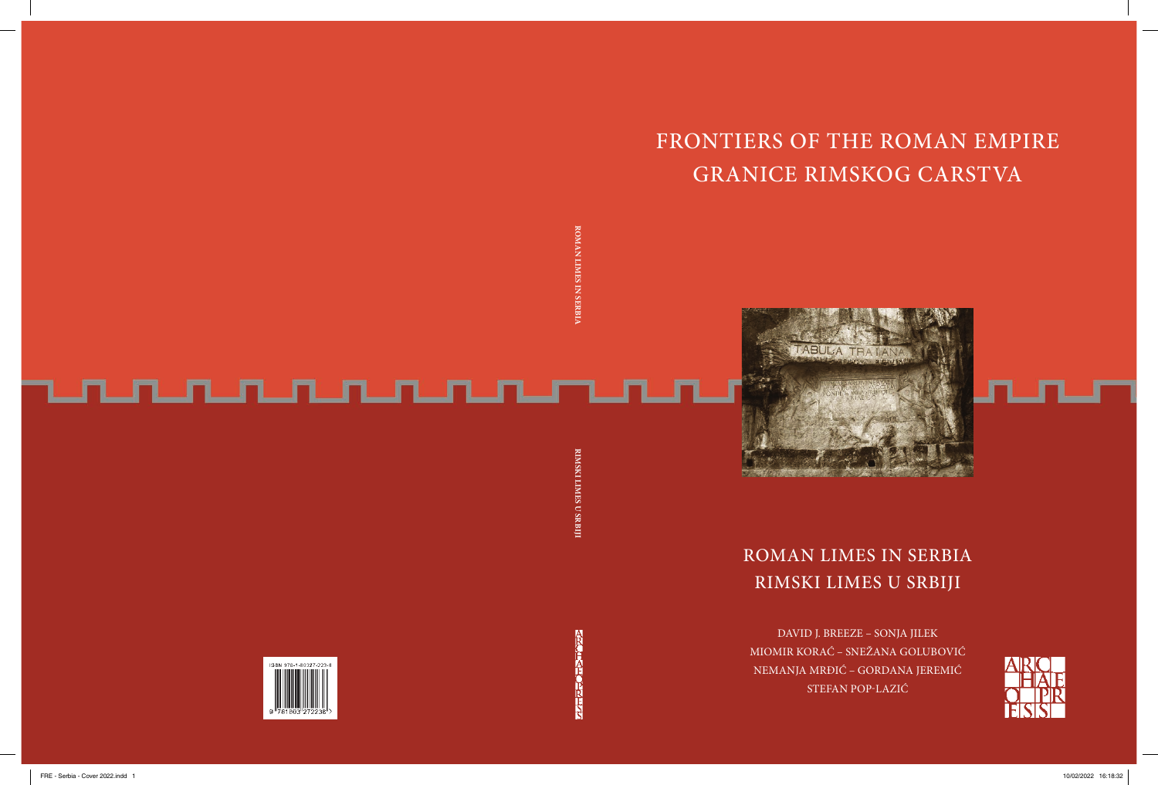# FRONTIERS OF THE ROMAN EMPIRE GRANICE RIMSKOG CARSTVA



### ROMAN LIMES IN SERBIA RIMSKI LIMES U SRBIJI

DAVID J. BREEZE – SONJA JILEK MIOMIR KORAĆ – SNEŽANA GOLUBOVIĆ NEMANJA MRĐIĆ – GORDANA JEREMIĆ STEFAN POP-LAZIĆ

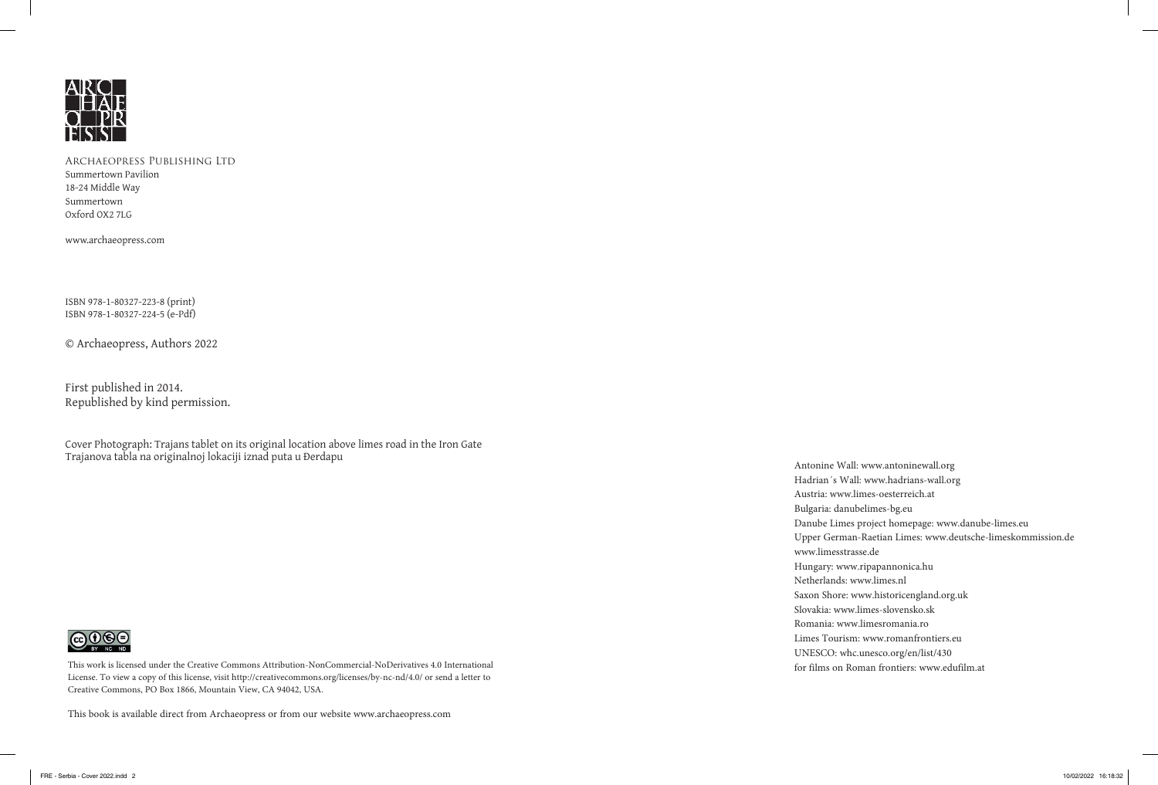

Summertown Pavilion Summertown Pavilion 18-24 Middle Way Summertown Oxford OX2 7LG Archaeopress Publishing Ltd Archaeopress Publishing Ltd

www.archaeopress.com www.archaeopress.com

ISBN 978-1-80327-223-8 (print) ISBN 978-1-80327-224-5 (e-Pdf)

© Archaeopress, Authors 2022

First published in 2014. Republished by kind permission.

Cover Photograph: Trajans tablet on its original location above limes road in the Iron Gate Trajanova tabla na originalnoj lokaciji iznad puta u Đerdapu



This work is licensed under the Creative Commons Attribution-NonCommercial-NoDerivatives 4.0 International License. To view a copy of this license, visit http://creativecommons.org/licenses/by-nc-nd/4.0/ or send a letter to Creative Commons, PO Box 1866, Mountain View, CA 94042, USA.

This book is available direct from Archaeopress or from our website www.archaeopress.com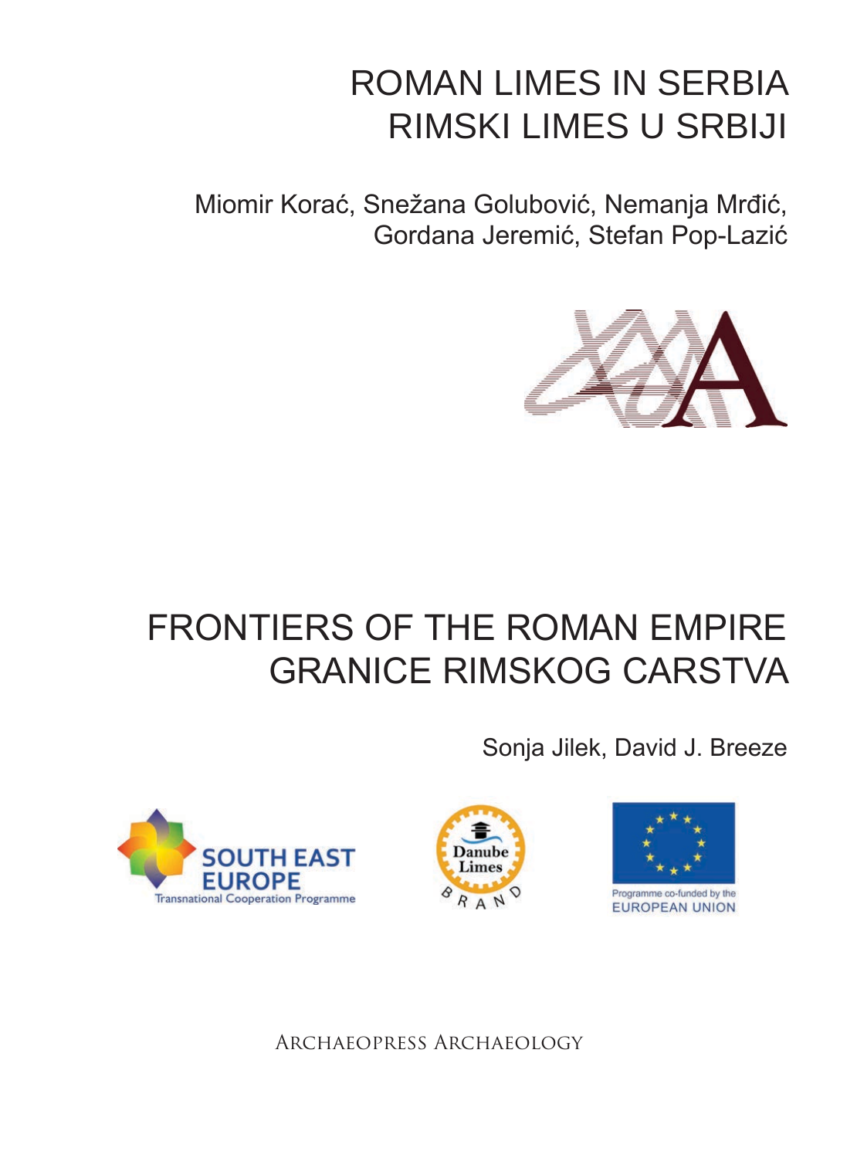## ROMAN LIMES IN SERBIA RIMSKI LIMES U SRBIJI

Miomir Korać, Snežana Golubović, Nemanja Mrđić, Gordana Jeremić, Stefan Pop-Lazić



## FRONTIERS OF THE ROMAN EMPIRE GRANICE RIMSKOG CARSTVA

Sonja Jilek, David J. Breeze







Archaeopress Archaeology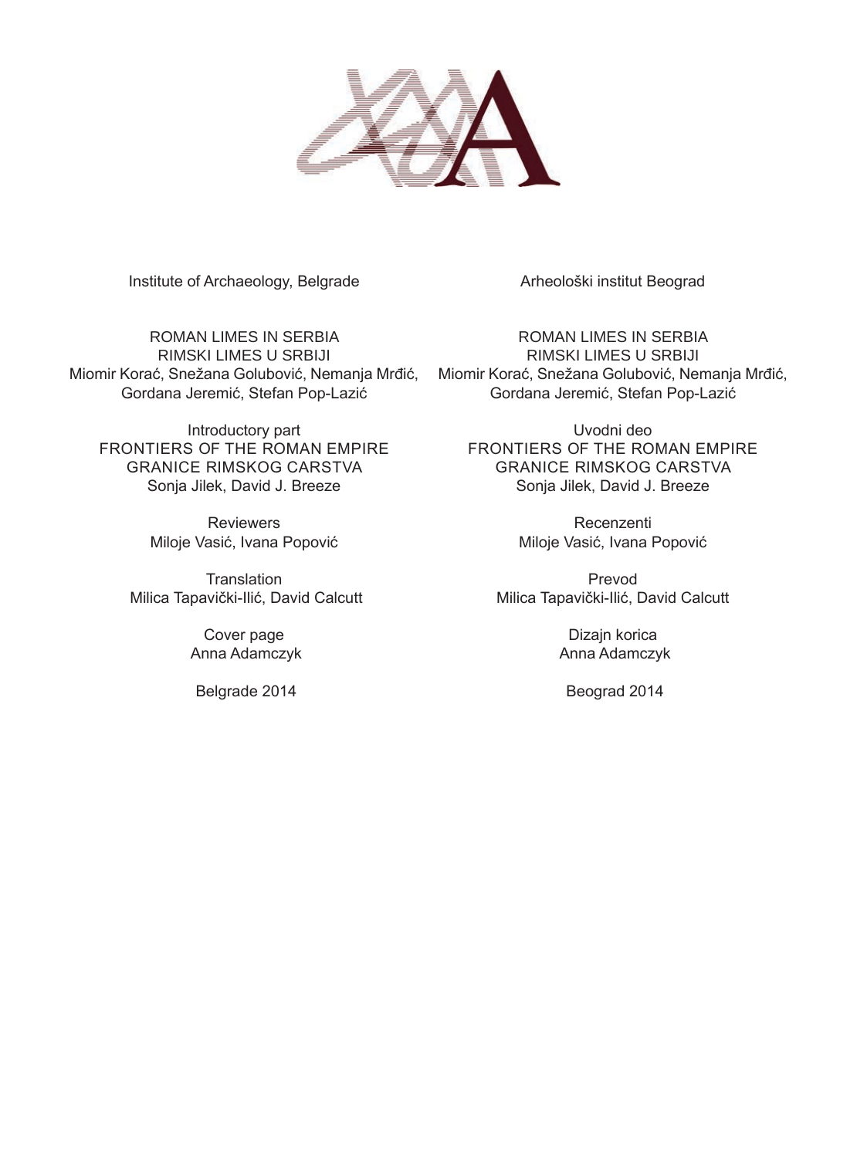

Institute of Archaeology, Belgrade

ROMAN LIMES IN SERBIA RIMSKI LIMES U SRBIJI Miomir Korać, Snežana Golubović, Nemanja Mrđić, Miomir Korać, Snežana Golubović, Nemanja Mrđić, Gordana Jeremić, Stefan Pop-Lazić

Introductory part FRONTIERS OF THE ROMAN EMPIRE GRANICE RIMSKOG CARSTVA Sonja Jilek, David J. Breeze

> Reviewers Miloje Vasić, Ivana Popović

**Translation** Milica Tapavički-Ilić, David Calcutt

> Cover page Anna Adamczyk

Belgrade 2014

Arheološki institut Beograd

ROMAN LIMES IN SERBIA RIMSKI LIMES U SRBIJI Gordana Jeremić, Stefan Pop-Lazić

Uvodni deo FRONTIERS OF THE ROMAN EMPIRE GRANICE RIMSKOG CARSTVA Sonja Jilek, David J. Breeze

> Recenzenti Miloje Vasić, Ivana Popović

Prevod Milica Tapavički-Ilić, David Calcutt

> Dizajn korica Anna Adamczyk

Beograd 2014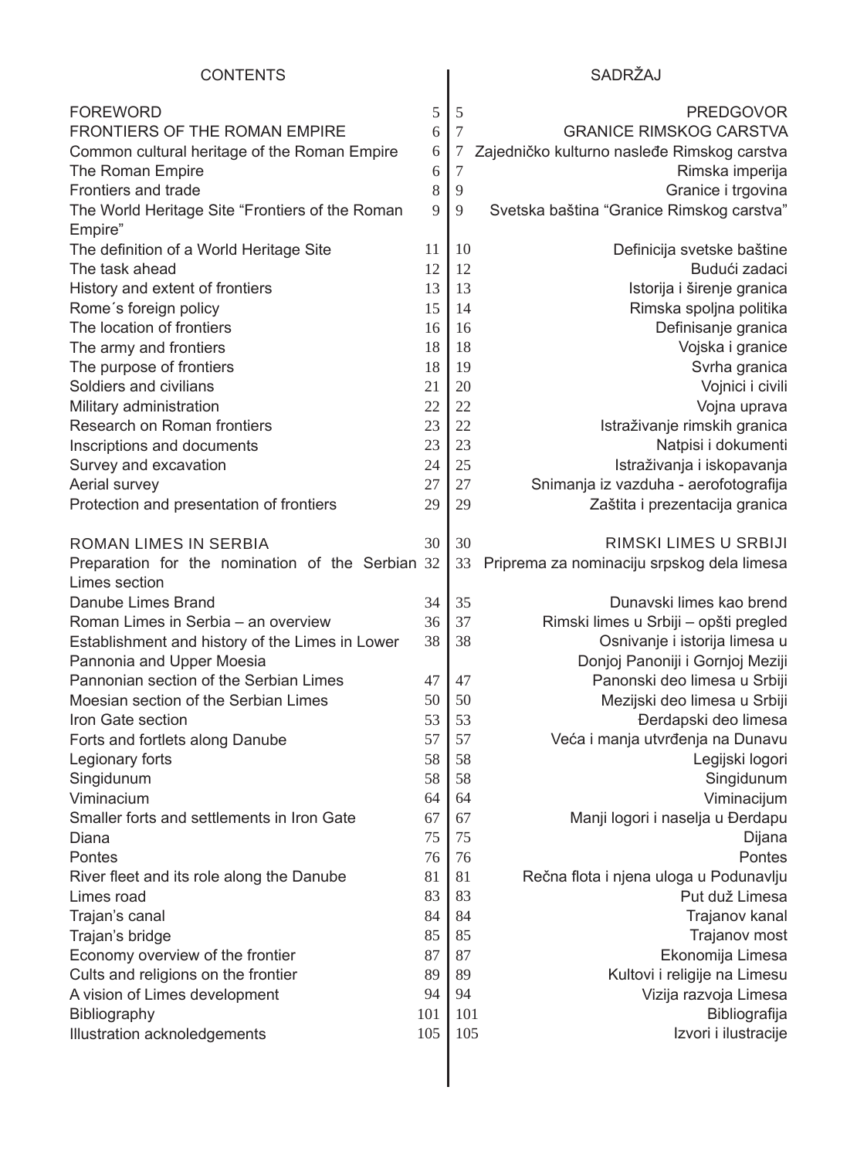#### SADRŽAJ

| <b>FOREWORD</b>                                  | 5   | 5                | <b>PREDGOVOR</b>                            |
|--------------------------------------------------|-----|------------------|---------------------------------------------|
| FRONTIERS OF THE ROMAN EMPIRE                    | 6   | $\tau$           | <b>GRANICE RIMSKOG CARSTVA</b>              |
| Common cultural heritage of the Roman Empire     | 6   | 7                | Zajedničko kulturno nasleđe Rimskog carstva |
| The Roman Empire                                 | 6   | $\boldsymbol{7}$ | Rimska imperija                             |
| Frontiers and trade                              | 8   | 9                | Granice i trgovina                          |
| The World Heritage Site "Frontiers of the Roman  | 9   | 9                | Svetska baština "Granice Rimskog carstva"   |
| Empire"                                          |     |                  |                                             |
| The definition of a World Heritage Site          | 11  | 10               | Definicija svetske baštine                  |
| The task ahead                                   | 12  | 12               | Budući zadaci                               |
| History and extent of frontiers                  | 13  | 13               | Istorija i širenje granica                  |
| Rome's foreign policy                            | 15  | 14               | Rimska spoljna politika                     |
| The location of frontiers                        | 16  | 16               | Definisanje granica                         |
| The army and frontiers                           | 18  | 18               | Vojska i granice                            |
| The purpose of frontiers                         | 18  | 19               | Svrha granica                               |
| Soldiers and civilians                           | 21  | 20               | Vojnici i civili                            |
| Military administration                          | 22  | 22               | Vojna uprava                                |
| Research on Roman frontiers                      | 23  | 22               | Istraživanje rimskih granica                |
| Inscriptions and documents                       | 23  | 23               | Natpisi i dokumenti                         |
| Survey and excavation                            | 24  | 25               | Istraživanja i iskopavanja                  |
| Aerial survey                                    | 27  | 27               | Snimanja iz vazduha - aerofotografija       |
| Protection and presentation of frontiers         | 29  | 29               | Zaštita i prezentacija granica              |
|                                                  |     |                  |                                             |
| ROMAN LIMES IN SERBIA                            | 30  | 30               | RIMSKI LIMES U SRBIJI                       |
| Preparation for the nomination of the Serbian 32 |     | 33               | Priprema za nominaciju srpskog dela limesa  |
| Limes section                                    |     |                  |                                             |
| Danube Limes Brand                               | 34  | 35               | Dunavski limes kao brend                    |
| Roman Limes in Serbia - an overview              | 36  | 37               | Rimski limes u Srbiji - opšti pregled       |
| Establishment and history of the Limes in Lower  | 38  | 38               | Osnivanje i istorija limesa u               |
| Pannonia and Upper Moesia                        |     |                  | Donjoj Panoniji i Gornjoj Meziji            |
| Pannonian section of the Serbian Limes           | 47  | 47               | Panonski deo limesa u Srbiji                |
| Moesian section of the Serbian Limes             | 50  | 50               | Mezijski deo limesa u Srbiji                |
| Iron Gate section                                | 53  | 53               | Đerdapski deo limesa                        |
| Forts and fortlets along Danube                  | 57  | 57               | Veća i manja utvrđenja na Dunavu            |
| Legionary forts                                  | 58  | 58               | Legijski logori                             |
| Singidunum                                       | 58  | 58               | Singidunum                                  |
| Viminacium                                       | 64  | 64               | Viminacijum                                 |
| Smaller forts and settlements in Iron Gate       | 67  | 67               | Manji logori i naselja u Đerdapu            |
| Diana                                            | 75  | 75               | Dijana                                      |
| Pontes                                           | 76  | 76               | Pontes                                      |
| River fleet and its role along the Danube        | 81  | 81               | Rečna flota i njena uloga u Podunavlju      |
| Limes road                                       | 83  | 83               | Put duž Limesa                              |
| Trajan's canal                                   | 84  | 84               | Trajanov kanal                              |
| Trajan's bridge                                  | 85  | 85               | Trajanov most                               |
| Economy overview of the frontier                 | 87  | 87               | Ekonomija Limesa                            |
| Cults and religions on the frontier              | 89  | 89               | Kultovi i religije na Limesu                |
|                                                  | 94  | 94               |                                             |
| A vision of Limes development                    | 101 | 101              | Vizija razvoja Limesa<br>Bibliografija      |
| Bibliography<br>Illustration acknoledgements     | 105 | 105              | Izvori i ilustracije                        |
|                                                  |     |                  |                                             |
|                                                  |     |                  |                                             |
|                                                  |     |                  |                                             |

 $\overline{\phantom{a}}$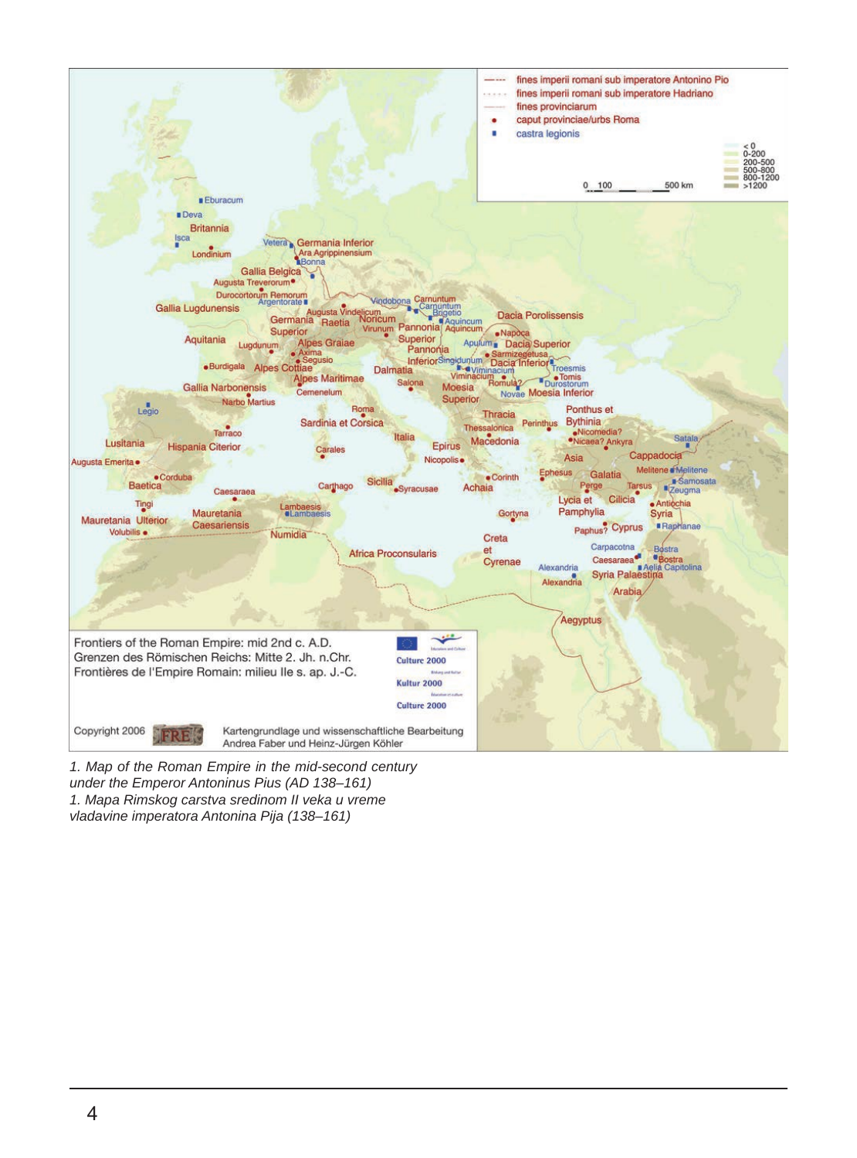

*1. Map of the Roman Empire in the mid-second century under the Emperor Antoninus Pius (AD 138–161) 1. Mapa Rimskog carstva sredinom II veka u vreme vladavine imperatora Antonina Pija (138–161)*